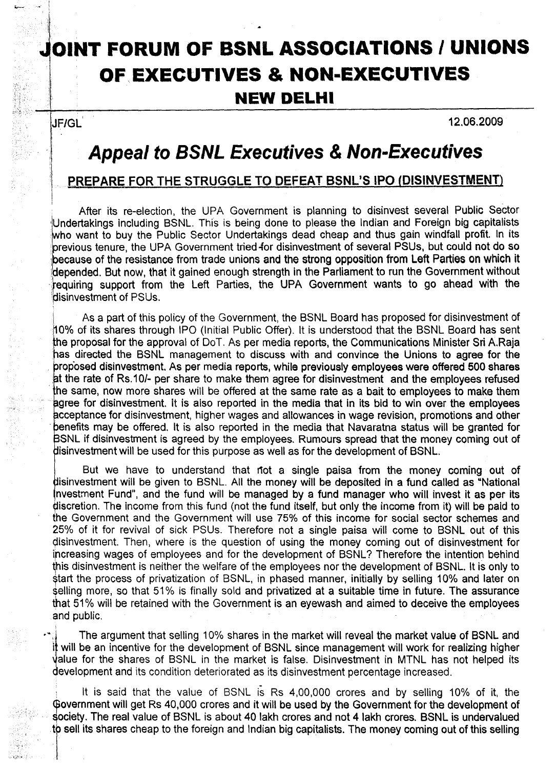## **JOINT FORUM OF BSNL ASSOCIATIONS / UNIONS OF"EXECUTIVES & NON-EXECUTIVES NEW DELHI**

JF/GL

I

ti a

12.06.2009

## **Appeal to BSNL Executives & Non-Executives**

## ~EPAREFOR **THE STRUGGLE TO DEFEAT BSNL'S IPO (DISINVESTMENT)**

After its re-election, the UPA Government is planning to disinvest several Public Sector<br>Undertakings including BSNL. This is being done to please the Indian and Foreign big capitalists  $\Box$  . now  $\Box$  . This is being done to please the Indian and  $\Box$  is being done to please the Indian and  $\Box$  . This is being done to please the Indian and  $\Box$  . It is close to please the Indian and  $\Box$  . It is conside who want to buy the Public Sector Undertakings dead cheap and thus gain windfall profit. In its previous tenure, the UPA Government tried for disinvestment of several PSUs, but could not do so because of the resistance from trade unions and the strong opposition from Left Parties on which it !(jepended. But now, that it gained enough strength in the Parliament to run the Government without requiring support from the Left Parties, the UPA Government wants to go ahead with the disinvestment of PSUs.

As a part of this policy of the Government, the BSNL Board has proposed for disinvestment of 10% of its shares through IPO (Initial Public Offer). It is understood that the BSNL Board has sent has directed the BSNL management to discuss with and convince the Unions to agree for the rop'osed disinvestment. As per media reports, while previously employees were offered 500 shares at the rate of Rs.10/- per share to make them agree for disinvestment and the employees refused he same. now more shares will be offered at the same rate as a bait to employees to make them gree for disinvestment. It is also reported in the media that in its bid to win over the employees cceptance for disinvestment, higher wages and allowances in wage revision. promotions and other enefits may be offered. It is also reported in the media that Navaratna status will be granted for SNL if disinvestment is agreed by the employees. Rumours spread that the money coming out of disinvestment will be used for this purpose as well as for the development of BSNL.

But we have to understand that not a single paisa from the money coming out of disinvestment will be given to BSNL. All the money will be deposited in a fund called as "National nvestment Fund", and the fund will be managed by a fund manager who will invest it as per its discretion. The income from this fund (not the fund itself, but only the income from it) will be paid to the Government and the Government will use 75% of this income for social sector schemes and 25% of it for revival of sick PSUs. Therefore not a single paisa will come to BSNL out of this 9isinvestment. Then, where is the question of using the money coming out of disinvestment for increasing wages of employees and for the development of BSNL? Therefore the intention behind this disinvestment is neither the welfare of the employees nor the development of BSNL. It is only to \$tart the process of privatization of BSNL, in phased manner, initially by selling 10% and later on selling more, so that 51% is finally sold and privatized at a suitable time in future. The assurance that 51% will be retained with the Government is an eyewash and aimed to deceive the employees and public.

development and its condition deteriorated as its disinvestment percentage increased. The argument that selling 10% shares in the market will reveal the market value of BSNL and it will be an incentive for the development of BSNL since management will work for realizing higher alue for the shares of BSNL in the market is false. Disinvestment in MTNL has not helped its

It is said that the value of BSNL is Rs 4,00,000 crores and by selling 10% of it, the Government will get Rs 40,000 crores and it will be used by the Government for the development of society. The real value of BSNL is about 40 lakh crores and not 4 lakh crores. BSNL is undervalued<br>to sell its shares cheap to the foreign and Indian big capitalists. The money coming out of this selling

Ii sell its shares cheap to the foreign and Indian big capitalists. The money coming out of this selling out o<br>This selling out of this selling out of this selling out of this selling out of this selling out of this sellin